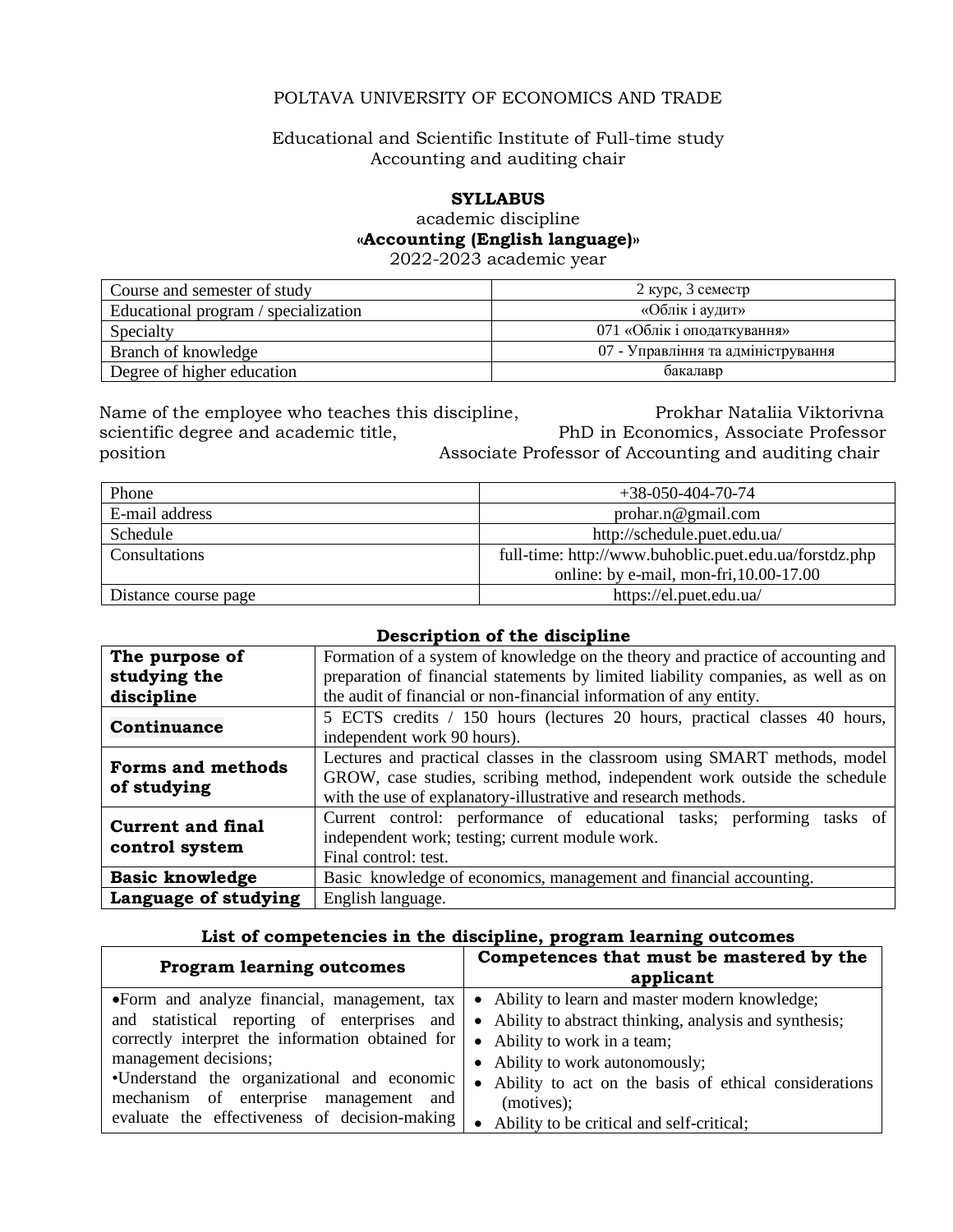# POLTAVA UNIVERSITY OF ECONOMICS AND TRADE

### Educational and Scientific Institute of Full-time study Accounting and auditing chair

### **SYLLABUS**

academic discipline

**«Accounting (English language)»**

2022-2023 academic year

| Course and semester of study         | 2 курс, 3 семестр                  |
|--------------------------------------|------------------------------------|
| Educational program / specialization | «Облік і аудит»                    |
| Specialty                            | 071 «Облік і оподаткування»        |
| Branch of knowledge                  | 07 - Управління та адміністрування |
| Degree of higher education           | бакалавр                           |

Name of the employee who teaches this discipline, **Prokhar Nataliia Viktorivna** scientific degree and academic title, PhD in Economics, Associate Professor position Associate Professor of Accounting and auditing chair

| Phone                | $+38-050-404-70-74$                                    |
|----------------------|--------------------------------------------------------|
| E-mail address       | probar.n@gmail.com                                     |
| Schedule             | http://schedule.puet.edu.ua/                           |
| Consultations        | full-time: http://www.buhoblic.puet.edu.ua/forstdz.php |
|                      | online: by e-mail, mon-fri, $10.00 - 17.00$            |
| Distance course page | https://el.puet.edu.ua/                                |

### **Description of the discipline**

| The purpose of           | Formation of a system of knowledge on the theory and practice of accounting and   |  |
|--------------------------|-----------------------------------------------------------------------------------|--|
| studying the             | preparation of financial statements by limited liability companies, as well as on |  |
| discipline               | the audit of financial or non-financial information of any entity.                |  |
| Continuance              | 5 ECTS credits / 150 hours (lectures 20 hours, practical classes 40 hours,        |  |
|                          | independent work 90 hours).                                                       |  |
| <b>Forms and methods</b> | Lectures and practical classes in the classroom using SMART methods, model        |  |
|                          | GROW, case studies, scribing method, independent work outside the schedule        |  |
| of studying              | with the use of explanatory-illustrative and research methods.                    |  |
| <b>Current and final</b> | Current control: performance of educational tasks; performing tasks of            |  |
| control system           | independent work; testing; current module work.                                   |  |
|                          | Final control: test.                                                              |  |
| <b>Basic knowledge</b>   | Basic knowledge of economics, management and financial accounting.                |  |
| Language of studying     | English language.                                                                 |  |

### **List of competencies in the discipline, program learning outcomes**

| <b>Program learning outcomes</b>                                                                                                                                                                                                                                    | Competences that must be mastered by the<br>applicant                                                                                                                                                                                                                                   |
|---------------------------------------------------------------------------------------------------------------------------------------------------------------------------------------------------------------------------------------------------------------------|-----------------------------------------------------------------------------------------------------------------------------------------------------------------------------------------------------------------------------------------------------------------------------------------|
| and statistical reporting of enterprises and<br>correctly interpret the information obtained for $\vert \bullet \vert$ Ability to work in a team;<br>management decisions;<br>•Understand the organizational and economic<br>mechanism of enterprise management and | •Form and analyze financial, management, $\text{tax} \mid \bullet$ Ability to learn and master modern knowledge;<br>• Ability to abstract thinking, analysis and synthesis;<br>• Ability to work autonomously;<br>• Ability to act on the basis of ethical considerations<br>(motives); |
| evaluate the effectiveness of decision-making                                                                                                                                                                                                                       | Ability to be critical and self-critical;                                                                                                                                                                                                                                               |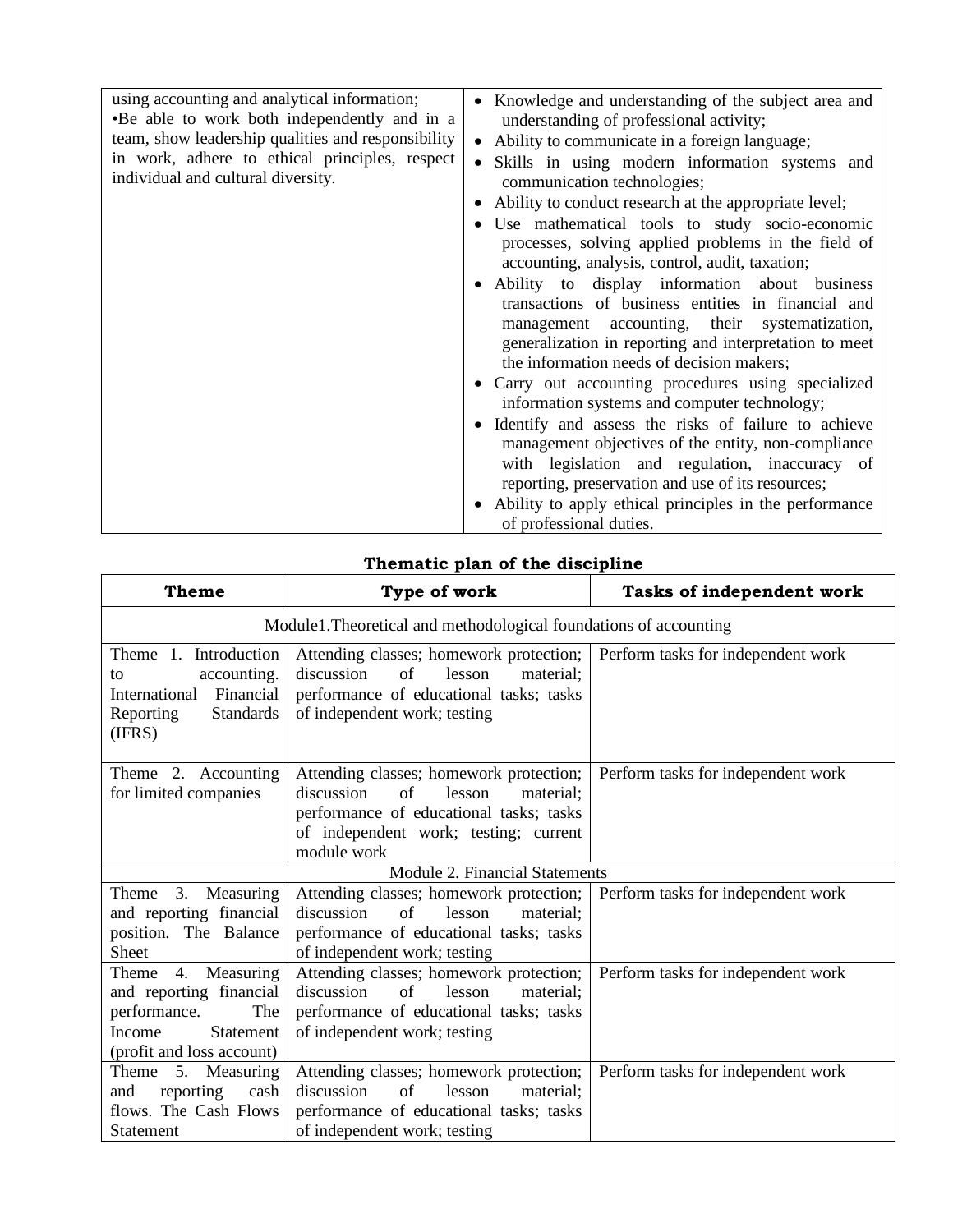| using accounting and analytical information;<br>•Be able to work both independently and in a<br>team, show leadership qualities and responsibility<br>in work, adhere to ethical principles, respect<br>individual and cultural diversity. | • Knowledge and understanding of the subject area and<br>understanding of professional activity;<br>Ability to communicate in a foreign language;<br>Skills in using modern information systems and<br>communication technologies;<br>• Ability to conduct research at the appropriate level;<br>Use mathematical tools to study socio-economic<br>processes, solving applied problems in the field of<br>accounting, analysis, control, audit, taxation; |
|--------------------------------------------------------------------------------------------------------------------------------------------------------------------------------------------------------------------------------------------|-----------------------------------------------------------------------------------------------------------------------------------------------------------------------------------------------------------------------------------------------------------------------------------------------------------------------------------------------------------------------------------------------------------------------------------------------------------|
|                                                                                                                                                                                                                                            | • Ability to display information about business<br>transactions of business entities in financial and<br>management accounting, their systematization,<br>generalization in reporting and interpretation to meet<br>the information needs of decision makers;                                                                                                                                                                                             |
|                                                                                                                                                                                                                                            | • Carry out accounting procedures using specialized<br>information systems and computer technology;                                                                                                                                                                                                                                                                                                                                                       |
|                                                                                                                                                                                                                                            | • Identify and assess the risks of failure to achieve<br>management objectives of the entity, non-compliance<br>with legislation and regulation, inaccuracy of<br>reporting, preservation and use of its resources;<br>• Ability to apply ethical principles in the performance<br>of professional duties.                                                                                                                                                |

# **Thematic plan of the discipline**

| <b>Theme</b>                                                                                                             | Type of work                                                                                                                                                                          | Tasks of independent work          |  |
|--------------------------------------------------------------------------------------------------------------------------|---------------------------------------------------------------------------------------------------------------------------------------------------------------------------------------|------------------------------------|--|
|                                                                                                                          | Module1. Theoretical and methodological foundations of accounting                                                                                                                     |                                    |  |
| Theme 1. Introduction<br>accounting.<br>to<br>Financial<br>International<br>Reporting<br><b>Standards</b><br>(IFRS)      | Attending classes; homework protection;<br>discussion<br>of<br>lesson<br>material;<br>performance of educational tasks; tasks<br>of independent work; testing                         | Perform tasks for independent work |  |
| Theme 2. Accounting<br>for limited companies                                                                             | Attending classes; homework protection;<br>of<br>discussion<br>lesson<br>material;<br>performance of educational tasks; tasks<br>of independent work; testing; current<br>module work | Perform tasks for independent work |  |
|                                                                                                                          | Module 2. Financial Statements                                                                                                                                                        |                                    |  |
| 3.<br>Measuring<br>Theme<br>and reporting financial<br>position. The Balance<br>Sheet                                    | Attending classes; homework protection;<br>discussion<br>of<br>lesson<br>material:<br>performance of educational tasks; tasks<br>of independent work; testing                         | Perform tasks for independent work |  |
| Theme 4. Measuring<br>and reporting financial<br>performance.<br>The<br>Statement<br>Income<br>(profit and loss account) | Attending classes; homework protection;<br>of<br>discussion<br>lesson<br>material:<br>performance of educational tasks; tasks<br>of independent work; testing                         | Perform tasks for independent work |  |
| Theme 5. Measuring<br>reporting<br>and<br>cash<br>flows. The Cash Flows<br>Statement                                     | Attending classes; homework protection;<br>of<br>discussion<br>lesson<br>material:<br>performance of educational tasks; tasks<br>of independent work; testing                         | Perform tasks for independent work |  |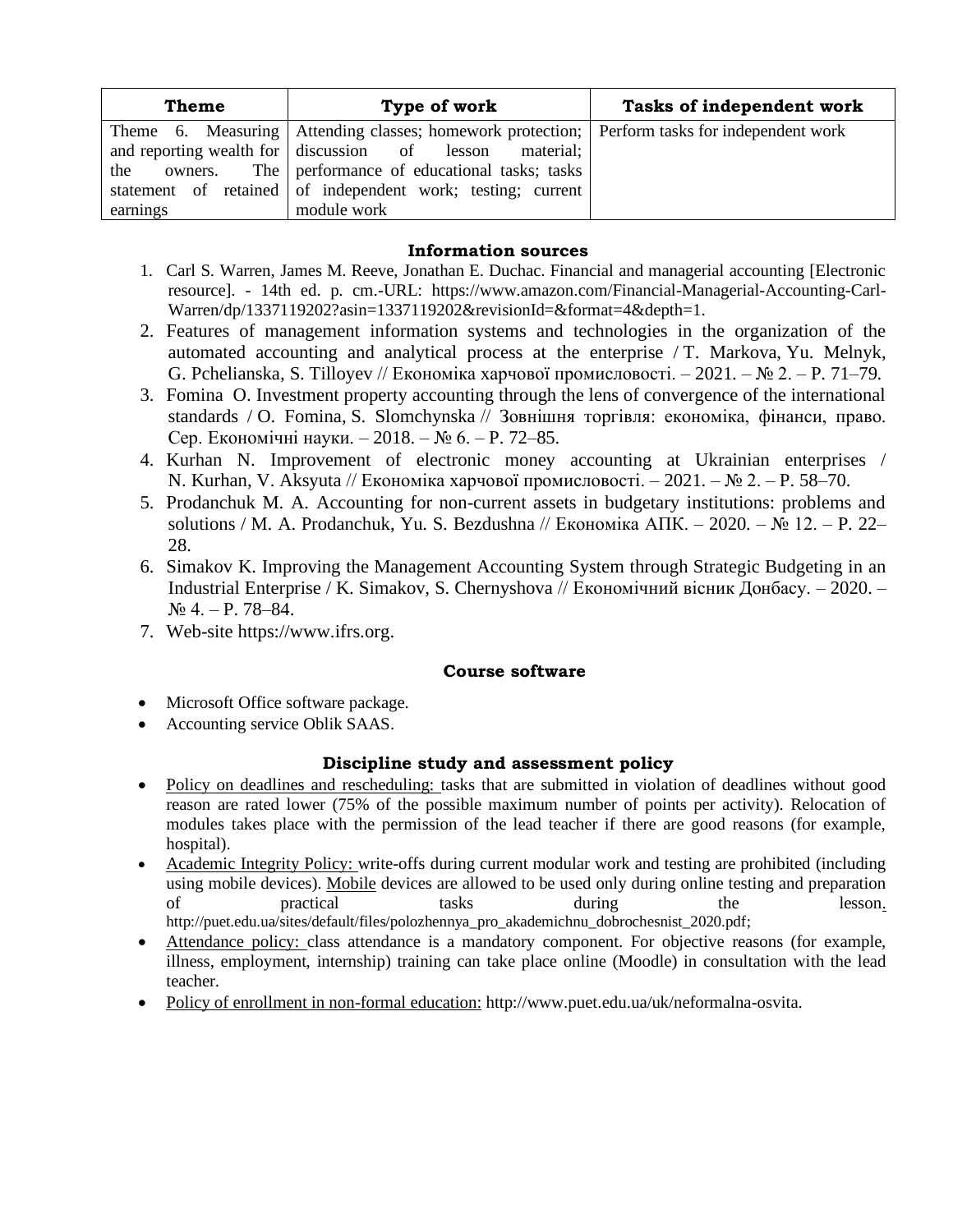| <b>Theme</b> | Type of work                                                                                  | Tasks of independent work |
|--------------|-----------------------------------------------------------------------------------------------|---------------------------|
|              | Theme 6. Measuring Attending classes; homework protection; Perform tasks for independent work |                           |
|              | and reporting wealth for discussion of lesson material;                                       |                           |
| the          | owners. The performance of educational tasks; tasks                                           |                           |
|              | statement of retained of independent work; testing; current                                   |                           |
| earnings     | module work                                                                                   |                           |

### **Information sources**

- 1. Carl S. Warren, James M. Reeve, Jonathan E. Duchac. Financial and managerial accounting [Electronic resource]. - 14th ed. p. cm.-URL: https://www.amazon.com/Financial-Managerial-Accounting-Carl-Warren/dp/1337119202?asin=1337119202&revisionId=&format=4&depth=1.
- 2. Features of management information systems and technologies in the organization of the automated accounting and analytical process at the enterprise / [T. Markova,](http://catalog.puet.edu.ua/opacunicode/index.php?url=/auteurs/view/103716/source:default) [Yu. Melnyk,](http://catalog.puet.edu.ua/opacunicode/index.php?url=/auteurs/view/109511/source:default) G. [Pchelianska,](http://catalog.puet.edu.ua/opacunicode/index.php?url=/auteurs/view/109512/source:default) [S. Tilloyev](http://catalog.puet.edu.ua/opacunicode/index.php?url=/auteurs/view/109513/source:default) // Економіка харчової промисловості. – 2021. – № 2. – P. 71–79.
- 3. [Fomina](http://catalog.puet.edu.ua/opacunicode/index.php?url=/auteurs/view/101933/source:default) O. Investment property accounting through the lens of convergence of the international standards / [O. Fomina,](http://catalog.puet.edu.ua/opacunicode/index.php?url=/auteurs/view/101933/source:default) [S. Slomchynska](http://catalog.puet.edu.ua/opacunicode/index.php?url=/auteurs/view/101934/source:default) // Зовнішня торгівля: економіка, фінанси, право. Сер. Економічні науки. – 2018. – № 6. – P. 72–85.
- 4. [Kurhan](http://catalog.puet.edu.ua/opacunicode/index.php?url=/auteurs/view/109509/source:default) N. Improvement of electronic money accounting at Ukrainian enterprises / N. [Kurhan,](http://catalog.puet.edu.ua/opacunicode/index.php?url=/auteurs/view/109509/source:default) [V. Aksyuta](http://catalog.puet.edu.ua/opacunicode/index.php?url=/auteurs/view/109510/source:default) // Економіка харчової промисловості. – 2021. – № 2. – P. 58–70.
- 5. [Prodanchuk M. A.](http://catalog.puet.edu.ua/opacunicode/index.php?url=/auteurs/view/108354/source:default) Accounting for non-current assets in budgetary institutions: problems and solutions / [M. A. Prodanchuk,](http://catalog.puet.edu.ua/opacunicode/index.php?url=/auteurs/view/108354/source:default) [Yu. S. Bezdushna](http://catalog.puet.edu.ua/opacunicode/index.php?url=/auteurs/view/108355/source:default) // Економіка АПК. – 2020. – № 12. – P. 22– 28.
- 6. [Simakov](http://catalog.puet.edu.ua/opacunicode/index.php?url=/auteurs/view/108963/source:default) K. Improving the Management Accounting System through Strategic Budgeting in an Industrial Enterprise / [K. Simakov,](http://catalog.puet.edu.ua/opacunicode/index.php?url=/auteurs/view/108963/source:default) [S. Chernyshova](http://catalog.puet.edu.ua/opacunicode/index.php?url=/auteurs/view/108964/source:default) // Економічний вісник Донбасу. – 2020. –  $N_2$  4. – P. 78–84.
- 7. Web-site [https://www.ifrs.org.](https://www.ifrs.org/)

### **Course software**

- Microsoft Office software package.
- Accounting service Oblik SAAS.

## **Discipline study and assessment policy**

- Policy on deadlines and rescheduling: tasks that are submitted in violation of deadlines without good reason are rated lower (75% of the possible maximum number of points per activity). Relocation of modules takes place with the permission of the lead teacher if there are good reasons (for example, hospital).
- Academic Integrity Policy: write-offs during current modular work and testing are prohibited (including using mobile devices). Mobile devices are allowed to be used only during online testing and preparation of practical tasks during the lesson. http://puet.edu.ua/sites/default/files/polozhennya\_pro\_akademichnu\_dobrochesnist\_2020.pdf;
- Attendance policy: class attendance is a mandatory component. For objective reasons (for example, illness, employment, internship) training can take place online (Moodle) in consultation with the lead teacher.
- Policy of enrollment in non-formal education: http://www.puet.edu.ua/uk/neformalna-osvita.